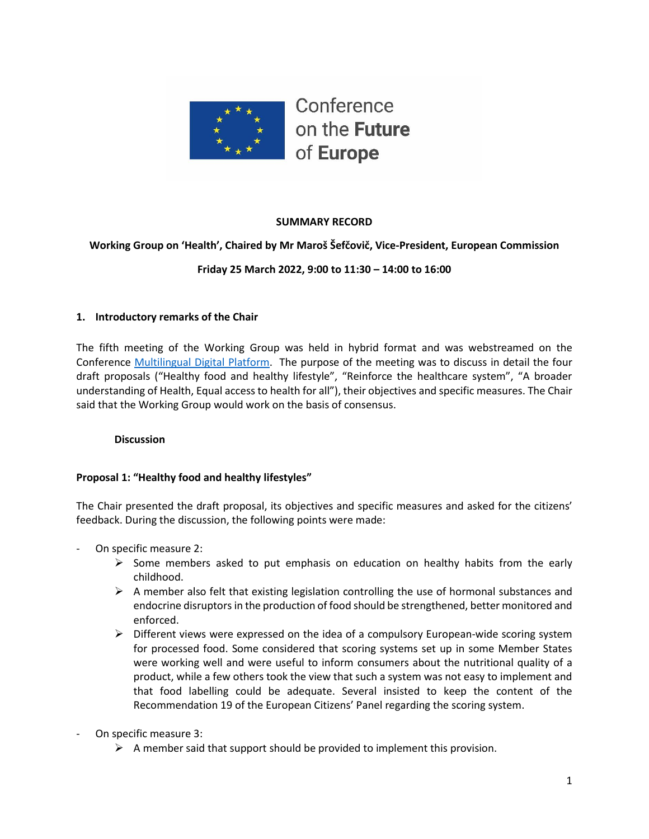

# **SUMMARY RECORD**

### **Working Group on 'Health', Chaired by Mr Maroš Šefčovič, Vice-President, European Commission**

# **Friday 25 March 2022, 9:00 to 11:30 – 14:00 to 16:00**

#### **1. Introductory remarks of the Chair**

The fifth meeting of the Working Group was held in hybrid format and was webstreamed on the Conference [Multilingual Digital Platform.](https://multimedia.europarl.europa.eu/webstreaming/conference-on-future-of-europe-workgroup-on-health_20220121-1400-SPECIAL-OTHER-2) The purpose of the meeting was to discuss in detail the four draft proposals ("Healthy food and healthy lifestyle", "Reinforce the healthcare system", "A broader understanding of Health, Equal access to health for all"), their objectives and specific measures. The Chair said that the Working Group would work on the basis of consensus.

#### **Discussion**

#### **Proposal 1: "Healthy food and healthy lifestyles"**

The Chair presented the draft proposal, its objectives and specific measures and asked for the citizens' feedback. During the discussion, the following points were made:

- On specific measure 2:
	- $\triangleright$  Some members asked to put emphasis on education on healthy habits from the early childhood.
	- $\triangleright$  A member also felt that existing legislation controlling the use of hormonal substances and endocrine disruptorsin the production of food should be strengthened, better monitored and enforced.
	- ➢ Different views were expressed on the idea of a compulsory European-wide scoring system for processed food. Some considered that scoring systems set up in some Member States were working well and were useful to inform consumers about the nutritional quality of a product, while a few others took the view that such a system was not easy to implement and that food labelling could be adequate. Several insisted to keep the content of the Recommendation 19 of the European Citizens' Panel regarding the scoring system.
- On specific measure 3:
	- $\triangleright$  A member said that support should be provided to implement this provision.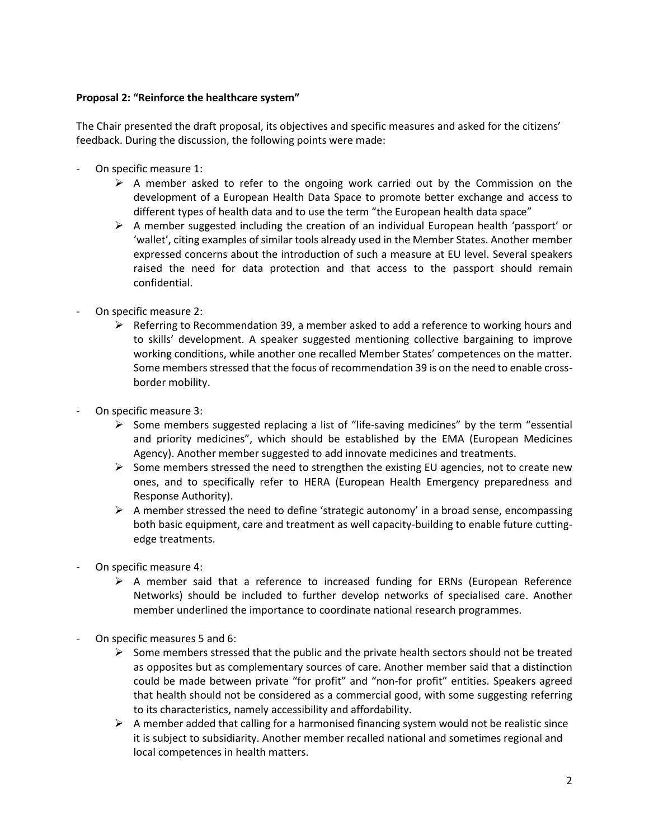### **Proposal 2: "Reinforce the healthcare system"**

The Chair presented the draft proposal, its objectives and specific measures and asked for the citizens' feedback. During the discussion, the following points were made:

- On specific measure 1:
	- ➢ A member asked to refer to the ongoing work carried out by the Commission on the development of a European Health Data Space to promote better exchange and access to different types of health data and to use the term "the European health data space"
	- $\triangleright$  A member suggested including the creation of an individual European health 'passport' or 'wallet', citing examples of similar tools already used in the Member States. Another member expressed concerns about the introduction of such a measure at EU level. Several speakers raised the need for data protection and that access to the passport should remain confidential.
- On specific measure 2:
	- $\triangleright$  Referring to Recommendation 39, a member asked to add a reference to working hours and to skills' development. A speaker suggested mentioning collective bargaining to improve working conditions, while another one recalled Member States' competences on the matter. Some members stressed that the focus of recommendation 39 is on the need to enable crossborder mobility.
- On specific measure 3:
	- ➢ Some members suggested replacing a list of "life-saving medicines" by the term "essential and priority medicines", which should be established by the EMA (European Medicines Agency). Another member suggested to add innovate medicines and treatments.
	- $\triangleright$  Some members stressed the need to strengthen the existing EU agencies, not to create new ones, and to specifically refer to HERA (European Health Emergency preparedness and Response Authority).
	- $\triangleright$  A member stressed the need to define 'strategic autonomy' in a broad sense, encompassing both basic equipment, care and treatment as well capacity-building to enable future cuttingedge treatments.
- On specific measure 4:
	- $\triangleright$  A member said that a reference to increased funding for ERNs (European Reference Networks) should be included to further develop networks of specialised care. Another member underlined the importance to coordinate national research programmes.
- On specific measures 5 and 6:
	- $\triangleright$  Some members stressed that the public and the private health sectors should not be treated as opposites but as complementary sources of care. Another member said that a distinction could be made between private "for profit" and "non-for profit" entities. Speakers agreed that health should not be considered as a commercial good, with some suggesting referring to its characteristics, namely accessibility and affordability.
	- $\triangleright$  A member added that calling for a harmonised financing system would not be realistic since it is subject to subsidiarity. Another member recalled national and sometimes regional and local competences in health matters.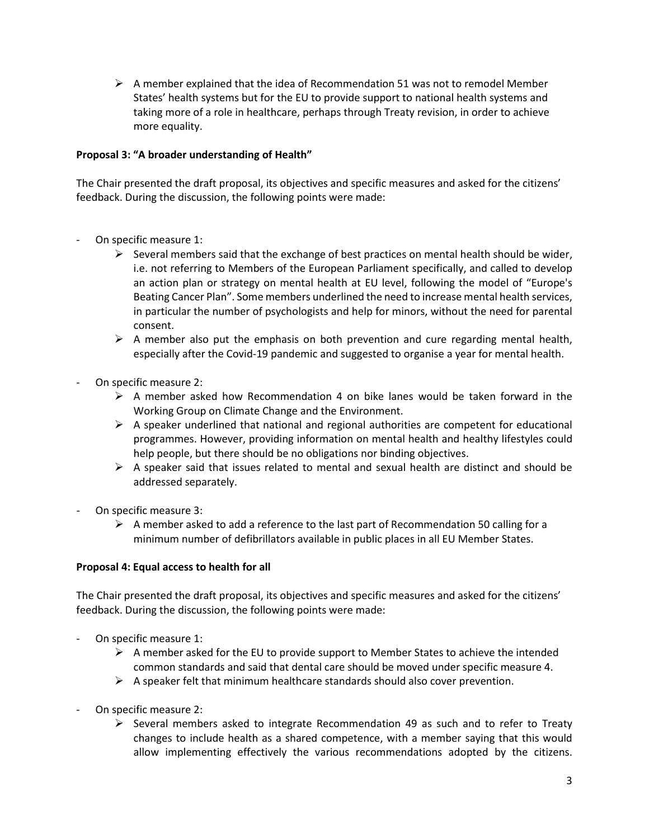$\triangleright$  A member explained that the idea of Recommendation 51 was not to remodel Member States' health systems but for the EU to provide support to national health systems and taking more of a role in healthcare, perhaps through Treaty revision, in order to achieve more equality.

# **Proposal 3: "A broader understanding of Health"**

The Chair presented the draft proposal, its objectives and specific measures and asked for the citizens' feedback. During the discussion, the following points were made:

- On specific measure 1:
	- $\triangleright$  Several members said that the exchange of best practices on mental health should be wider, i.e. not referring to Members of the European Parliament specifically, and called to develop an action plan or strategy on mental health at EU level, following the model of "Europe's Beating Cancer Plan". Some members underlined the need to increase mental health services, in particular the number of psychologists and help for minors, without the need for parental consent.
	- $\triangleright$  A member also put the emphasis on both prevention and cure regarding mental health, especially after the Covid-19 pandemic and suggested to organise a year for mental health.
- On specific measure 2:
	- ➢ A member asked how Recommendation 4 on bike lanes would be taken forward in the Working Group on Climate Change and the Environment.
	- $\triangleright$  A speaker underlined that national and regional authorities are competent for educational programmes. However, providing information on mental health and healthy lifestyles could help people, but there should be no obligations nor binding objectives.
	- $\triangleright$  A speaker said that issues related to mental and sexual health are distinct and should be addressed separately.
- On specific measure 3:
	- $\triangleright$  A member asked to add a reference to the last part of Recommendation 50 calling for a minimum number of defibrillators available in public places in all EU Member States.

#### **Proposal 4: Equal access to health for all**

The Chair presented the draft proposal, its objectives and specific measures and asked for the citizens' feedback. During the discussion, the following points were made:

- On specific measure 1:
	- $\triangleright$  A member asked for the EU to provide support to Member States to achieve the intended common standards and said that dental care should be moved under specific measure 4.
	- $\triangleright$  A speaker felt that minimum healthcare standards should also cover prevention.
- On specific measure 2:
	- $\triangleright$  Several members asked to integrate Recommendation 49 as such and to refer to Treaty changes to include health as a shared competence, with a member saying that this would allow implementing effectively the various recommendations adopted by the citizens.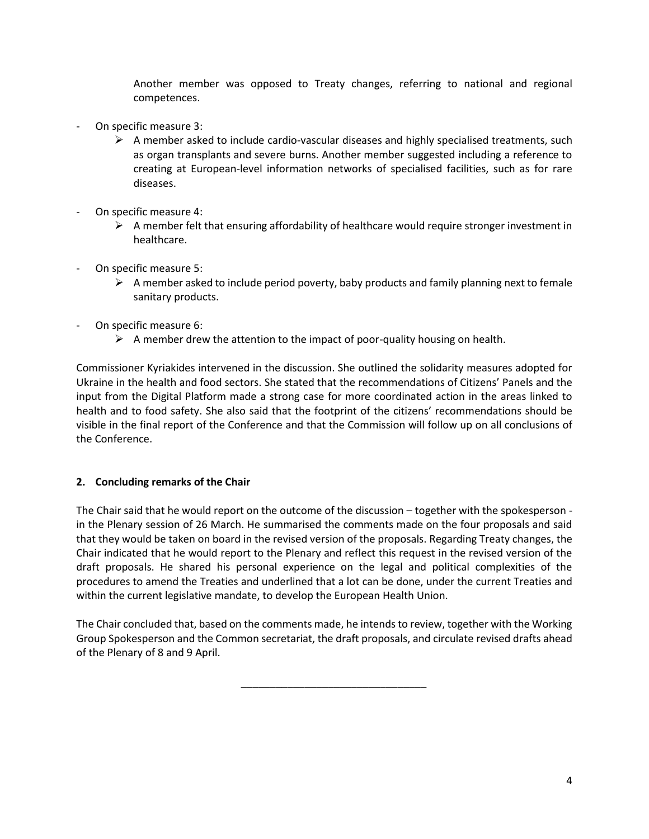Another member was opposed to Treaty changes, referring to national and regional competences.

- On specific measure 3:
	- $\triangleright$  A member asked to include cardio-vascular diseases and highly specialised treatments, such as organ transplants and severe burns. Another member suggested including a reference to creating at European-level information networks of specialised facilities, such as for rare diseases.
- On specific measure 4:
	- $\triangleright$  A member felt that ensuring affordability of healthcare would require stronger investment in healthcare.
- On specific measure 5:
	- $\triangleright$  A member asked to include period poverty, baby products and family planning next to female sanitary products.
- On specific measure 6:
	- $\triangleright$  A member drew the attention to the impact of poor-quality housing on health.

Commissioner Kyriakides intervened in the discussion. She outlined the solidarity measures adopted for Ukraine in the health and food sectors. She stated that the recommendations of Citizens' Panels and the input from the Digital Platform made a strong case for more coordinated action in the areas linked to health and to food safety. She also said that the footprint of the citizens' recommendations should be visible in the final report of the Conference and that the Commission will follow up on all conclusions of the Conference.

# **2. Concluding remarks of the Chair**

The Chair said that he would report on the outcome of the discussion – together with the spokesperson in the Plenary session of 26 March. He summarised the comments made on the four proposals and said that they would be taken on board in the revised version of the proposals. Regarding Treaty changes, the Chair indicated that he would report to the Plenary and reflect this request in the revised version of the draft proposals. He shared his personal experience on the legal and political complexities of the procedures to amend the Treaties and underlined that a lot can be done, under the current Treaties and within the current legislative mandate, to develop the European Health Union.

The Chair concluded that, based on the comments made, he intends to review, together with the Working Group Spokesperson and the Common secretariat, the draft proposals, and circulate revised drafts ahead of the Plenary of 8 and 9 April.

\_\_\_\_\_\_\_\_\_\_\_\_\_\_\_\_\_\_\_\_\_\_\_\_\_\_\_\_\_\_\_\_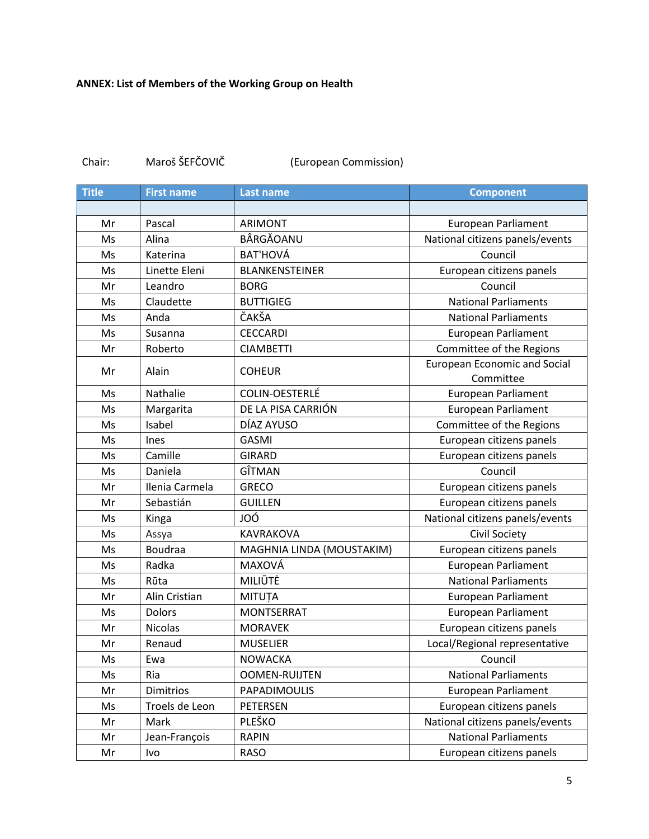| Chair: | Maroš ŠEFČOVIČ | (European Commission) |
|--------|----------------|-----------------------|
|--------|----------------|-----------------------|

| <b>Title</b> | <b>First name</b> | <b>Last name</b>          | <b>Component</b>                                 |
|--------------|-------------------|---------------------------|--------------------------------------------------|
|              |                   |                           |                                                  |
| Mr           | Pascal            | <b>ARIMONT</b>            | <b>European Parliament</b>                       |
| Ms           | Alina             | BÂRGĂOANU                 | National citizens panels/events                  |
| Ms           | Katerina          | <b>BAT'HOVÁ</b>           | Council                                          |
| Ms           | Linette Eleni     | <b>BLANKENSTEINER</b>     | European citizens panels                         |
| Mr           | Leandro           | <b>BORG</b>               | Council                                          |
| Ms           | Claudette         | <b>BUTTIGIEG</b>          | <b>National Parliaments</b>                      |
| Ms           | Anda              | ČAKŠA                     | <b>National Parliaments</b>                      |
| Ms           | Susanna           | <b>CECCARDI</b>           | <b>European Parliament</b>                       |
| Mr           | Roberto           | <b>CIAMBETTI</b>          | Committee of the Regions                         |
| Mr           | Alain             | <b>COHEUR</b>             | <b>European Economic and Social</b><br>Committee |
| Ms           | Nathalie          | COLIN-OESTERLÉ            | <b>European Parliament</b>                       |
| Ms           | Margarita         | DE LA PISA CARRIÓN        | <b>European Parliament</b>                       |
| Ms           | Isabel            | DÍAZ AYUSO                | Committee of the Regions                         |
| Ms           | Ines              | <b>GASMI</b>              | European citizens panels                         |
| Ms           | Camille           | <b>GIRARD</b>             | European citizens panels                         |
| Ms           | Daniela           | GÎTMAN                    | Council                                          |
| Mr           | Ilenia Carmela    | <b>GRECO</b>              | European citizens panels                         |
| Mr           | Sebastián         | <b>GUILLEN</b>            | European citizens panels                         |
| Ms           | Kinga             | JOÓ                       | National citizens panels/events                  |
| Ms           | Assya             | KAVRAKOVA                 | <b>Civil Society</b>                             |
| Ms           | <b>Boudraa</b>    | MAGHNIA LINDA (MOUSTAKIM) | European citizens panels                         |
| Ms           | Radka             | MAXOVÁ                    | <b>European Parliament</b>                       |
| Ms           | Rūta              | MILIŪTĖ                   | <b>National Parliaments</b>                      |
| Mr           | Alin Cristian     | MITUȚA                    | European Parliament                              |
| Ms           | <b>Dolors</b>     | <b>MONTSERRAT</b>         | European Parliament                              |
| Mr           | <b>Nicolas</b>    | <b>MORAVEK</b>            | European citizens panels                         |
| Mr           | Renaud            | <b>MUSELIER</b>           | Local/Regional representative                    |
| Ms           | Ewa               | <b>NOWACKA</b>            | Council                                          |
| Ms           | Ria               | <b>OOMEN-RUIJTEN</b>      | <b>National Parliaments</b>                      |
| Mr           | <b>Dimitrios</b>  | PAPADIMOULIS              | European Parliament                              |
| Ms           | Troels de Leon    | <b>PETERSEN</b>           | European citizens panels                         |
| Mr           | Mark              | PLEŠKO                    | National citizens panels/events                  |
| Mr           | Jean-François     | <b>RAPIN</b>              | <b>National Parliaments</b>                      |
| Mr           | Ivo               | <b>RASO</b>               | European citizens panels                         |